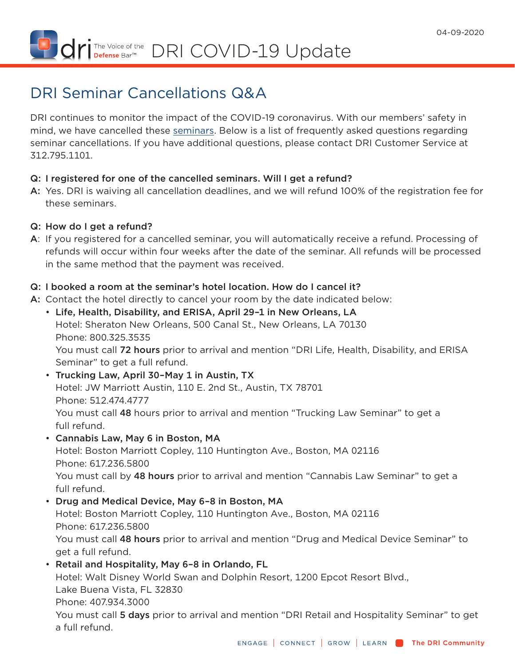I The Voice of the DRI COVID-19 Update

# DRI Seminar Cancellations Q&A

DRI continues to monitor the impact of the COVID-19 coronavirus. With our members' safety in mind, we have cancelled these [seminars.](https://dri.org/education-cle/seminars) Below is a list of frequently asked questions regarding seminar cancellations. If you have additional questions, please contact DRI Customer Service at 312.795.1101.

## Q: I registered for one of the cancelled seminars. Will I get a refund?

A: Yes. DRI is waiving all cancellation deadlines, and we will refund 100% of the registration fee for these seminars.

## Q: How do I get a refund?

A: If you registered for a cancelled seminar, you will automatically receive a refund. Processing of refunds will occur within four weeks after the date of the seminar. All refunds will be processed in the same method that the payment was received.

# Q: I booked a room at the seminar's hotel location. How do I cancel it?

- A: Contact the hotel directly to cancel your room by the date indicated below:
	- Life, Health, Disability, and ERISA, April 29–1 in New Orleans, LA Hotel: Sheraton New Orleans, 500 Canal St., New Orleans, LA 70130 Phone: 800.325.3535 You must call 72 hours prior to arrival and mention "DRI Life, Health, Disability, and ERISA Seminar" to get a full refund.
	- Trucking Law, April 30–May 1 in Austin, TX Hotel: JW Marriott Austin, 110 E. 2nd St., Austin, TX 78701 Phone: 512.474.4777 You must call 48 hours prior to arrival and mention "Trucking Law Seminar" to get a full refund.
	- Cannabis Law, May 6 in Boston, MA Hotel: Boston Marriott Copley, 110 Huntington Ave., Boston, MA 02116 Phone: 617.236.5800 You must call by 48 hours prior to arrival and mention "Cannabis Law Seminar" to get a full refund.
	- Drug and Medical Device, May 6–8 in Boston, MA Hotel: Boston Marriott Copley, 110 Huntington Ave., Boston, MA 02116 Phone: 617.236.5800 You must call 48 hours prior to arrival and mention "Drug and Medical Device Seminar" to get a full refund.
	- Retail and Hospitality, May 6–8 in Orlando, FL Hotel: Walt Disney World Swan and Dolphin Resort, 1200 Epcot Resort Blvd., Lake Buena Vista, FL 32830 Phone: 407.934.3000

You must call 5 days prior to arrival and mention "DRI Retail and Hospitality Seminar" to get a full refund.